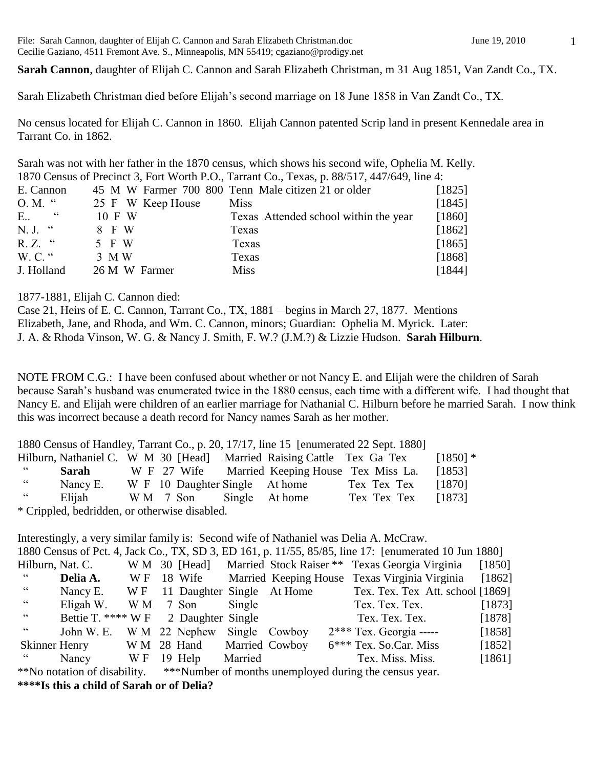File: Sarah Cannon, daughter of Elijah C. Cannon and Sarah Elizabeth Christman.doc June 19, 2010 Cecilie Gaziano, 4511 Fremont Ave. S., Minneapolis, MN 55419; cgaziano@prodigy.net

**Sarah Cannon**, daughter of Elijah C. Cannon and Sarah Elizabeth Christman, m 31 Aug 1851, Van Zandt Co., TX.

Sarah Elizabeth Christman died before Elijah's second marriage on 18 June 1858 in Van Zandt Co., TX.

No census located for Elijah C. Cannon in 1860. Elijah Cannon patented Scrip land in present Kennedale area in Tarrant Co. in 1862.

Sarah was not with her father in the 1870 census, which shows his second wife, Ophelia M. Kelly. 1870 Census of Precinct 3, Fort Worth P.O., Tarrant Co., Texas, p. 88/517, 447/649, line 4:

| E. Cannon      |                   | 45 M W Farmer 700 800 Tenn Male citizen 21 or older | [1825] |
|----------------|-------------------|-----------------------------------------------------|--------|
| $O. M.$ "      | 25 F W Keep House | Miss                                                | [1845] |
| cc<br>E        | 10 F W            | Texas Attended school within the year               | [1860] |
| $N, J,$ "      | 8 F W             | Texas                                               | [1862] |
| $R. Z.$ "      | 5 F W             | Texas                                               | [1865] |
| $W_{1}C_{1}$ " | 3 M W             | Texas                                               | [1868] |
| J. Holland     | 26 M W Farmer     | <b>Miss</b>                                         | [1844] |

1877-1881, Elijah C. Cannon died:

Case 21, Heirs of E. C. Cannon, Tarrant Co., TX, 1881 – begins in March 27, 1877. Mentions Elizabeth, Jane, and Rhoda, and Wm. C. Cannon, minors; Guardian: Ophelia M. Myrick. Later: J. A. & Rhoda Vinson, W. G. & Nancy J. Smith, F. W.? (J.M.?) & Lizzie Hudson. **Sarah Hilburn**.

NOTE FROM C.G.: I have been confused about whether or not Nancy E. and Elijah were the children of Sarah because Sarah's husband was enumerated twice in the 1880 census, each time with a different wife. I had thought that Nancy E. and Elijah were children of an earlier marriage for Nathanial C. Hilburn before he married Sarah. I now think this was incorrect because a death record for Nancy names Sarah as her mother.

|            |                                               |  |          |                                                                       | 1880 Census of Handley, Tarrant Co., p. 20, 17/17, line 15 [enumerated 22 Sept. 1880] |            |
|------------|-----------------------------------------------|--|----------|-----------------------------------------------------------------------|---------------------------------------------------------------------------------------|------------|
|            |                                               |  |          | Hilburn, Nathaniel C. W M 30 [Head] Married Raising Cattle Tex Ga Tex |                                                                                       | $[1850]$ * |
| $\epsilon$ | Sarah                                         |  |          | W F 27 Wife Married Keeping House Tex Miss La.                        |                                                                                       | [1853]     |
| $\epsilon$ | Nancy E.                                      |  |          | W F 10 Daughter Single At home                                        | Tex Tex Tex                                                                           | [1870]     |
| $\epsilon$ | Elijah                                        |  | WM 7 Son | Single At home                                                        | Tex Tex Tex                                                                           | [1873]     |
|            | * Crippled, bedridden, or otherwise disabled. |  |          |                                                                       |                                                                                       |            |

|                |                              |     |                   |               |                            | Interestingly, a very similar family is: Second wife of Nathaniel was Delia A. McCraw.                |        |
|----------------|------------------------------|-----|-------------------|---------------|----------------------------|-------------------------------------------------------------------------------------------------------|--------|
|                |                              |     |                   |               |                            | 1880 Census of Pct. 4, Jack Co., TX, SD 3, ED 161, p. 11/55, 85/85, line 17: [enumerated 10 Jun 1880] |        |
|                | Hilburn, Nat. C.             |     |                   |               |                            | W M 30 [Head] Married Stock Raiser ** Texas Georgia Virginia                                          | [1850] |
|                | Delia A.                     | W F |                   |               |                            | 18 Wife Married Keeping House Texas Virginia Virginia                                                 | [1862] |
| cc             | Nancy E. $W F$               |     |                   |               | 11 Daughter Single At Home | Tex. Tex. Tex Att. school [1869]                                                                      |        |
| $\zeta\,\zeta$ | Eligah W.                    | W M | 7 Son             | Single        |                            | Tex. Tex. Tex.                                                                                        | [1873] |
| cc             | Bettie T. $*** W F$          |     | 2 Daughter Single |               |                            | Tex. Tex. Tex.                                                                                        | [1878] |
| cc             | John W. E.                   |     | W M 22 Nephew     | Single Cowboy |                            | $2***$ Tex. Georgia -----                                                                             | [1858] |
| Skinner Henry  |                              |     | W M 28 Hand       |               | <b>Married Cowboy</b>      | 6*** Tex. So.Car. Miss                                                                                | [1852] |
| <b>"</b>       | Nancy                        | W F | 19 Help           | Married       |                            | Tex. Miss. Miss.                                                                                      | [1861] |
|                | **No notation of disability. |     |                   |               |                            | ***Number of months unemployed during the census year.                                                |        |
|                |                              |     |                   |               |                            |                                                                                                       |        |

**\*\*\*\*Is this a child of Sarah or of Delia?**